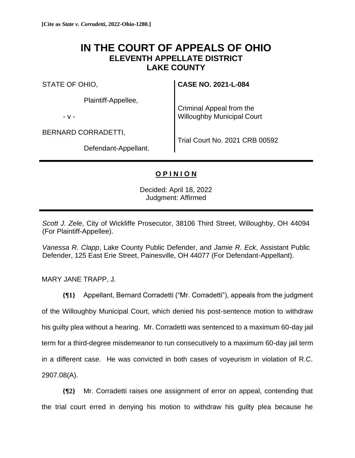## **IN THE COURT OF APPEALS OF OHIO ELEVENTH APPELLATE DISTRICT LAKE COUNTY**

STATE OF OHIO,

Plaintiff-Appellee,

- v -

BERNARD CORRADETTI,

Defendant-Appellant.

**CASE NO. 2021-L-084**

Criminal Appeal from the Willoughby Municipal Court

Trial Court No. 2021 CRB 00592

## **O P I N I O N**

Decided: April 18, 2022 Judgment: Affirmed

*Scott J. Zele*, City of Wickliffe Prosecutor, 38106 Third Street, Willoughby, OH 44094 (For Plaintiff-Appellee).

*Vanessa R. Clapp*, Lake County Public Defender, and *Jamie R. Eck*, Assistant Public Defender, 125 East Erie Street, Painesville, OH 44077 (For Defendant-Appellant).

MARY JANE TRAPP, J.

**{¶1}** Appellant, Bernard Corradetti ("Mr. Corradetti"), appeals from the judgment of the Willoughby Municipal Court, which denied his post-sentence motion to withdraw his guilty plea without a hearing. Mr. Corradetti was sentenced to a maximum 60-day jail term for a third-degree misdemeanor to run consecutively to a maximum 60-day jail term in a different case. He was convicted in both cases of voyeurism in violation of R.C. 2907.08(A).

**{¶2}** Mr. Corradetti raises one assignment of error on appeal, contending that the trial court erred in denying his motion to withdraw his guilty plea because he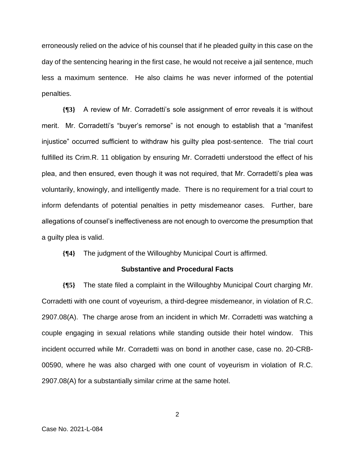erroneously relied on the advice of his counsel that if he pleaded guilty in this case on the day of the sentencing hearing in the first case, he would not receive a jail sentence, much less a maximum sentence. He also claims he was never informed of the potential penalties.

**{¶3}** A review of Mr. Corradetti's sole assignment of error reveals it is without merit. Mr. Corradetti's "buyer's remorse" is not enough to establish that a "manifest injustice" occurred sufficient to withdraw his guilty plea post-sentence. The trial court fulfilled its Crim.R. 11 obligation by ensuring Mr. Corradetti understood the effect of his plea, and then ensured, even though it was not required, that Mr. Corradetti's plea was voluntarily, knowingly, and intelligently made. There is no requirement for a trial court to inform defendants of potential penalties in petty misdemeanor cases. Further, bare allegations of counsel's ineffectiveness are not enough to overcome the presumption that a guilty plea is valid.

**{¶4}** The judgment of the Willoughby Municipal Court is affirmed.

## **Substantive and Procedural Facts**

**{¶5}** The state filed a complaint in the Willoughby Municipal Court charging Mr. Corradetti with one count of voyeurism, a third-degree misdemeanor, in violation of R.C. 2907.08(A). The charge arose from an incident in which Mr. Corradetti was watching a couple engaging in sexual relations while standing outside their hotel window. This incident occurred while Mr. Corradetti was on bond in another case, case no. 20-CRB-00590, where he was also charged with one count of voyeurism in violation of R.C. 2907.08(A) for a substantially similar crime at the same hotel.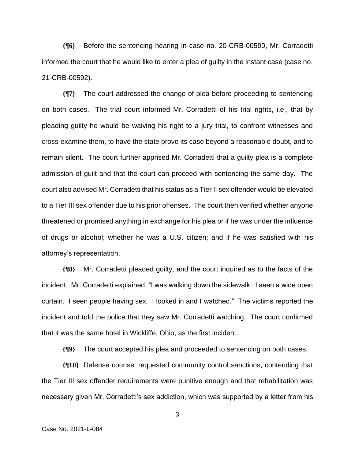**{¶6}** Before the sentencing hearing in case no. 20-CRB-00590, Mr. Corradetti informed the court that he would like to enter a plea of guilty in the instant case (case no. 21-CRB-00592).

**{¶7}** The court addressed the change of plea before proceeding to sentencing on both cases. The trial court informed Mr. Corradetti of his trial rights, i.e., that by pleading guilty he would be waiving his right to a jury trial, to confront witnesses and cross-examine them, to have the state prove its case beyond a reasonable doubt, and to remain silent. The court further apprised Mr. Corradetti that a guilty plea is a complete admission of guilt and that the court can proceed with sentencing the same day. The court also advised Mr. Corradetti that his status as a Tier II sex offender would be elevated to a Tier III sex offender due to his prior offenses. The court then verified whether anyone threatened or promised anything in exchange for his plea or if he was under the influence of drugs or alcohol; whether he was a U.S. citizen; and if he was satisfied with his attorney's representation.

**{¶8}** Mr. Corradetti pleaded guilty, and the court inquired as to the facts of the incident. Mr. Corradetti explained, "I was walking down the sidewalk. I seen a wide open curtain. I seen people having sex. I looked in and I watched." The victims reported the incident and told the police that they saw Mr. Corradetti watching. The court confirmed that it was the same hotel in Wickliffe, Ohio, as the first incident.

**{¶9}** The court accepted his plea and proceeded to sentencing on both cases.

**{¶10}** Defense counsel requested community control sanctions, contending that the Tier III sex offender requirements were punitive enough and that rehabilitation was necessary given Mr. Corradetti's sex addiction, which was supported by a letter from his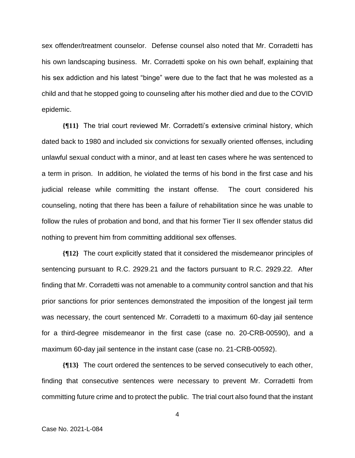sex offender/treatment counselor. Defense counsel also noted that Mr. Corradetti has his own landscaping business. Mr. Corradetti spoke on his own behalf, explaining that his sex addiction and his latest "binge" were due to the fact that he was molested as a child and that he stopped going to counseling after his mother died and due to the COVID epidemic.

**{¶11}** The trial court reviewed Mr. Corradetti's extensive criminal history, which dated back to 1980 and included six convictions for sexually oriented offenses, including unlawful sexual conduct with a minor, and at least ten cases where he was sentenced to a term in prison. In addition, he violated the terms of his bond in the first case and his judicial release while committing the instant offense. The court considered his counseling, noting that there has been a failure of rehabilitation since he was unable to follow the rules of probation and bond, and that his former Tier II sex offender status did nothing to prevent him from committing additional sex offenses.

**{¶12}** The court explicitly stated that it considered the misdemeanor principles of sentencing pursuant to R.C. 2929.21 and the factors pursuant to R.C. 2929.22. After finding that Mr. Corradetti was not amenable to a community control sanction and that his prior sanctions for prior sentences demonstrated the imposition of the longest jail term was necessary, the court sentenced Mr. Corradetti to a maximum 60-day jail sentence for a third-degree misdemeanor in the first case (case no. 20-CRB-00590), and a maximum 60-day jail sentence in the instant case (case no. 21-CRB-00592).

**{¶13}** The court ordered the sentences to be served consecutively to each other, finding that consecutive sentences were necessary to prevent Mr. Corradetti from committing future crime and to protect the public. The trial court also found that the instant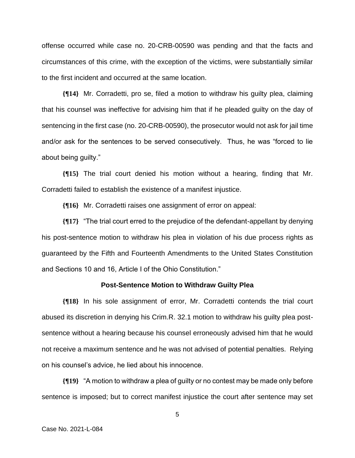offense occurred while case no. 20-CRB-00590 was pending and that the facts and circumstances of this crime, with the exception of the victims, were substantially similar to the first incident and occurred at the same location.

**{¶14}** Mr. Corradetti, pro se, filed a motion to withdraw his guilty plea, claiming that his counsel was ineffective for advising him that if he pleaded guilty on the day of sentencing in the first case (no. 20-CRB-00590), the prosecutor would not ask for jail time and/or ask for the sentences to be served consecutively. Thus, he was "forced to lie about being guilty."

**{¶15}** The trial court denied his motion without a hearing, finding that Mr. Corradetti failed to establish the existence of a manifest injustice.

**{¶16}** Mr. Corradetti raises one assignment of error on appeal:

**{¶17}** "The trial court erred to the prejudice of the defendant-appellant by denying his post-sentence motion to withdraw his plea in violation of his due process rights as guaranteed by the Fifth and Fourteenth Amendments to the United States Constitution and Sections 10 and 16, Article I of the Ohio Constitution."

## **Post-Sentence Motion to Withdraw Guilty Plea**

**{¶18}** In his sole assignment of error, Mr. Corradetti contends the trial court abused its discretion in denying his Crim.R. 32.1 motion to withdraw his guilty plea postsentence without a hearing because his counsel erroneously advised him that he would not receive a maximum sentence and he was not advised of potential penalties. Relying on his counsel's advice, he lied about his innocence.

**{¶19}** "A motion to withdraw a plea of guilty or no contest may be made only before sentence is imposed; but to correct manifest injustice the court after sentence may set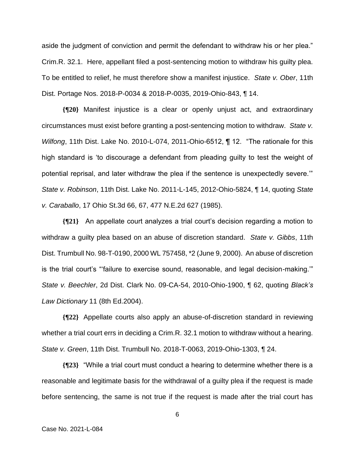aside the judgment of conviction and permit the defendant to withdraw his or her plea." Crim.R. 32.1. Here, appellant filed a post-sentencing motion to withdraw his guilty plea. To be entitled to relief, he must therefore show a manifest injustice. *State v. Ober*, 11th Dist. Portage Nos. 2018-P-0034 & 2018-P-0035, 2019-Ohio-843, ¶ 14.

**{¶20}** Manifest injustice is a clear or openly unjust act, and extraordinary circumstances must exist before granting a post-sentencing motion to withdraw. *State v. Wilfong*, 11th Dist. Lake No. 2010-L-074, 2011-Ohio-6512, ¶ 12. "The rationale for this high standard is 'to discourage a defendant from pleading guilty to test the weight of potential reprisal, and later withdraw the plea if the sentence is unexpectedly severe.'" *State v. Robinson*, 11th Dist. Lake No. 2011-L-145, 2012-Ohio-5824, ¶ 14, quoting *State v. Caraballo*, 17 Ohio St.3d 66, 67, 477 N.E.2d 627 (1985).

**{¶21}** An appellate court analyzes a trial court's decision regarding a motion to withdraw a guilty plea based on an abuse of discretion standard. *State v. Gibbs*, 11th Dist. Trumbull No. 98-T-0190, 2000 WL 757458, \*2 (June 9, 2000). An abuse of discretion is the trial court's "'failure to exercise sound, reasonable, and legal decision-making.'" *State v. Beechler*, 2d Dist. Clark No. 09-CA-54, 2010-Ohio-1900, ¶ 62, quoting *Black's Law Dictionary* 11 (8th Ed.2004).

**{¶22}** Appellate courts also apply an abuse-of-discretion standard in reviewing whether a trial court errs in deciding a Crim.R. 32.1 motion to withdraw without a hearing. *State v. Green*, 11th Dist. Trumbull No. 2018-T-0063, 2019-Ohio-1303, ¶ 24.

**{¶23}** "While a trial court must conduct a hearing to determine whether there is a reasonable and legitimate basis for the withdrawal of a guilty plea if the request is made before sentencing, the same is not true if the request is made after the trial court has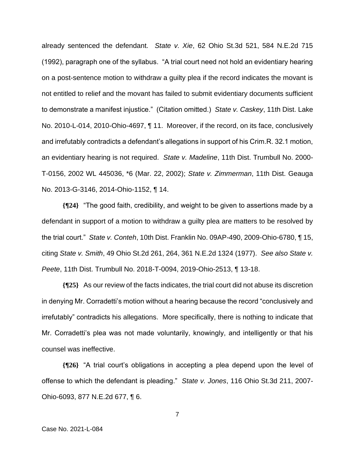already sentenced the defendant. *State v. Xie*, 62 Ohio St.3d 521, 584 N.E.2d 715 (1992), paragraph one of the syllabus. "A trial court need not hold an evidentiary hearing on a post-sentence motion to withdraw a guilty plea if the record indicates the movant is not entitled to relief and the movant has failed to submit evidentiary documents sufficient to demonstrate a manifest injustice." (Citation omitted.) *State v. Caskey*, 11th Dist. Lake No. 2010-L-014, 2010-Ohio-4697, ¶ 11. Moreover, if the record, on its face, conclusively and irrefutably contradicts a defendant's allegations in support of his Crim.R. 32.1 motion, an evidentiary hearing is not required. *State v. Madeline*, 11th Dist. Trumbull No. 2000- T-0156, 2002 WL 445036, \*6 (Mar. 22, 2002); *State v. Zimmerman*, 11th Dist. Geauga No. 2013-G-3146, 2014-Ohio-1152, ¶ 14.

**{¶24}** "The good faith, credibility, and weight to be given to assertions made by a defendant in support of a motion to withdraw a guilty plea are matters to be resolved by the trial court." *State v. Conteh*, 10th Dist. Franklin No. 09AP-490, 2009-Ohio-6780, ¶ 15, citing *State v. Smith*, 49 Ohio St.2d 261, 264, 361 N.E.2d 1324 (1977). *See also State v. Peete*, 11th Dist. Trumbull No. 2018-T-0094, 2019-Ohio-2513, ¶ 13-18.

**{¶25}** As our review of the facts indicates, the trial court did not abuse its discretion in denying Mr. Corradetti's motion without a hearing because the record "conclusively and irrefutably" contradicts his allegations. More specifically, there is nothing to indicate that Mr. Corradetti's plea was not made voluntarily, knowingly, and intelligently or that his counsel was ineffective.

**{¶26}** "A trial court's obligations in accepting a plea depend upon the level of offense to which the defendant is pleading." *State v. Jones*, 116 Ohio St.3d 211, 2007- Ohio-6093, 877 N.E.2d 677, ¶ 6.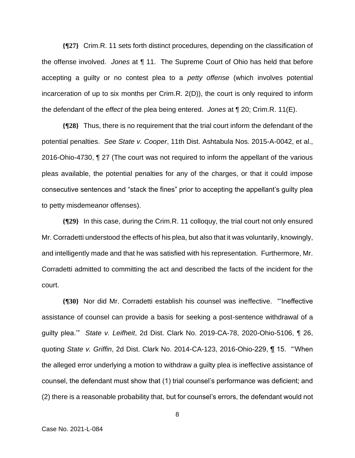**{¶27}** Crim.R. 11 sets forth distinct procedures, depending on the classification of the offense involved. *Jones* at ¶ 11. The Supreme Court of Ohio has held that before accepting a guilty or no contest plea to a *petty offense* (which involves potential incarceration of up to six months per Crim.R. 2(D)), the court is only required to inform the defendant of the *effect* of the plea being entered. *Jones* at ¶ 20; Crim.R. 11(E).

**{¶28}** Thus, there is no requirement that the trial court inform the defendant of the potential penalties. *See State v. Cooper*, 11th Dist. Ashtabula Nos. 2015-A-0042, et al., 2016-Ohio-4730, ¶ 27 (The court was not required to inform the appellant of the various pleas available, the potential penalties for any of the charges, or that it could impose consecutive sentences and "stack the fines" prior to accepting the appellant's guilty plea to petty misdemeanor offenses).

**{¶29}** In this case, during the Crim.R. 11 colloquy, the trial court not only ensured Mr. Corradetti understood the effects of his plea, but also that it was voluntarily, knowingly, and intelligently made and that he was satisfied with his representation. Furthermore, Mr. Corradetti admitted to committing the act and described the facts of the incident for the court.

**{¶30}** Nor did Mr. Corradetti establish his counsel was ineffective. "'Ineffective assistance of counsel can provide a basis for seeking a post-sentence withdrawal of a guilty plea.'" *State v. Leifheit*, 2d Dist. Clark No. 2019-CA-78, 2020-Ohio-5106, ¶ 26, quoting *State v. Griffin*, 2d Dist. Clark No. 2014-CA-123, 2016-Ohio-229, ¶ 15. "'When the alleged error underlying a motion to withdraw a guilty plea is ineffective assistance of counsel, the defendant must show that (1) trial counsel's performance was deficient; and (2) there is a reasonable probability that, but for counsel's errors, the defendant would not